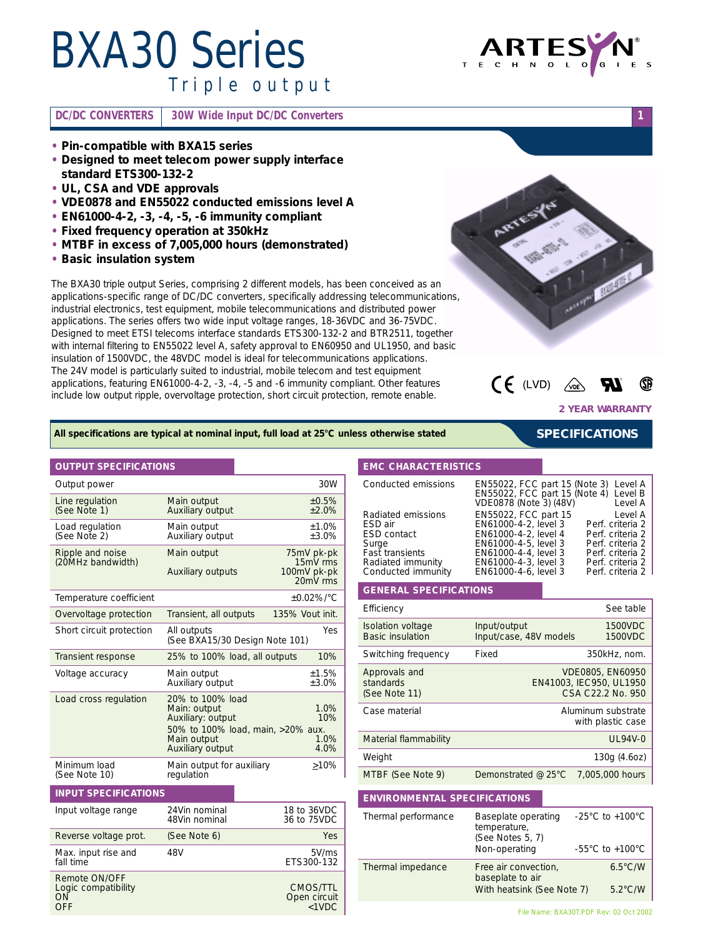# *BXA30 Series Triple output*

### **DC/DC CONVERTERS 30W Wide Input DC/DC Converters 1**



- **• Designed to meet telecom power supply interface standard ETS300-132-2**
- **• UL, CSA and VDE approvals**
- **• VDE0878 and EN55022 conducted emissions level A**
- **• EN61000-4-2, -3, -4, -5, -6 immunity compliant**
- **• Fixed frequency operation at 350kHz**
- **• MTBF in excess of 7,005,000 hours (demonstrated)**
- **• Basic insulation system**

The BXA30 triple output Series, comprising 2 different models, has been conceived as an applications-specific range of DC/DC converters, specifically addressing telecommunications, industrial electronics, test equipment, mobile telecommunications and distributed power applications. The series offers two wide input voltage ranges, 18-36VDC and 36-75VDC. Designed to meet ETSI telecoms interface standards ETS300-132-2 and BTR2511, together with internal filtering to EN55022 level A, safety approval to EN60950 and UL1950, and basic insulation of 1500VDC, the 48VDC model is ideal for telecommunications applications. The 24V model is particularly suited to industrial, mobile telecom and test equipment applications, featuring EN61000-4-2, -3, -4, -5 and -6 immunity compliant. Other features include low output ripple, overvoltage protection, short circuit protection, remote enable.



**ARTES** 



**2 YEAR WARRANTY**

*SPECIFICATIONS*

#### *All specifications are typical at nominal input, full load at 25°C unless otherwise stated*

#### **OUTPUT SPECIFICATIONS**

| Output power                          |                                                                                                                               | 30W                                               |  |
|---------------------------------------|-------------------------------------------------------------------------------------------------------------------------------|---------------------------------------------------|--|
| Line regulation<br>(See Note 1)       | Main output<br>±0.5%<br>Auxiliary output<br>$+2.0%$                                                                           |                                                   |  |
| Load regulation<br>(See Note 2)       | Main output<br>$+1.0%$<br>Auxiliary output<br>±3.0%                                                                           |                                                   |  |
| Ripple and noise<br>(20MHz bandwidth) | Main output<br><b>Auxiliary outputs</b>                                                                                       | 75mV pk-pk<br>15mV rms<br>100mV pk-pk<br>20mV rms |  |
| Temperature coefficient               |                                                                                                                               | $+0.02\%$ /°C                                     |  |
| Overvoltage protection                | Transient, all outputs                                                                                                        | 135% Vout init.                                   |  |
| Short circuit protection              | <b>Yes</b><br>All outputs<br>(See BXA15/30 Design Note 101)                                                                   |                                                   |  |
| Transient response                    | 25% to 100% load, all outputs<br>10%                                                                                          |                                                   |  |
| Voltage accuracy                      | Main output<br>Auxiliary output                                                                                               | ±1.5%<br>$+3.0%$                                  |  |
| Load cross regulation                 | 20% to 100% load<br>Main: output<br>Auxiliary: output<br>50% to 100% load, main, >20% aux.<br>Main output<br>Auxiliary output | 1.0%<br>10%<br>1.0%<br>4.0%                       |  |
| Minimum load<br>(See Note 10)         | Main output for auxiliary<br>regulation                                                                                       | $>10\%$                                           |  |
| <b>INPUT SPECIFICATIONS</b>           |                                                                                                                               |                                                   |  |
| Input voltage range                   | 24Vin nominal<br>48Vin nominal                                                                                                | 18 to 36VDC<br>36 to 75VDC                        |  |
| Reverse voltage prot.                 | (See Note 6)                                                                                                                  | Yes                                               |  |
| Max. input rise and<br>fall time      | 48V                                                                                                                           | 5V/ms<br>ETS300-132                               |  |
| Remote ON/OFF                         |                                                                                                                               |                                                   |  |

Logic compatibility compatibility compatibility compatibility compatibility compatibility compatibility compatibility ON ON OPEN CHARGES OPEN CHARGES ON OPEN CIRCUIT OFF <1VDC

#### **EMC CHARACTERISTICS**

| Conducted emissions | EN55022, FCC part 15 (Note 3) Level A<br>EN55022, FCC part 15 (Note 4) Level B<br>VDE0878 (Note 3) (48V) | Level A          |
|---------------------|----------------------------------------------------------------------------------------------------------|------------------|
| Radiated emissions  | EN55022, FCC part 15                                                                                     | Level A          |
| ESD air             | EN61000-4-2, level 3                                                                                     | Perf. criteria 2 |
| <b>ESD</b> contact  | EN61000-4-2, level 4                                                                                     | Perf. criteria 2 |
| Surge               | EN61000-4-5, level 3                                                                                     | Perf. criteria 2 |
| Fast transients     | EN61000-4-4, level 3                                                                                     | Perf. criteria 2 |
| Radiated immunity   | EN61000-4-3, level 3                                                                                     | Perf. criteria 2 |
| Conducted immunity  | EN61000-4-6, level 3                                                                                     | Perf. criteria 2 |

#### **GENERAL SPECIFICATIONS**

| Efficiency                                   |                                        | See table                                                        |
|----------------------------------------------|----------------------------------------|------------------------------------------------------------------|
| Isolation voltage<br><b>Basic insulation</b> | Input/output<br>Input/case, 48V models | 1500VDC<br>1500VDC                                               |
| Switching frequency                          | Fixed                                  | 350kHz, nom.                                                     |
| Approvals and<br>standards<br>(See Note 11)  |                                        | VDE0805, EN60950<br>EN41003, IEC950, UL1950<br>CSA C22.2 No. 950 |
| Case material                                |                                        | Aluminum substrate<br>with plastic case                          |
| Material flammability                        |                                        | $UL94V-0$                                                        |
| Weight                                       |                                        | 130g (4.6oz)                                                     |
| MTBF (See Note 9)                            | Demonstrated @ 25°C                    | 7.005.000 hours                                                  |

### **ENVIRONMENTAL SPECIFICATIONS**

| Thermal performance | Baseplate operating<br>temperature,<br>(See Notes 5, 7)<br>Non-operating | $-25^{\circ}$ C to $+100^{\circ}$ C<br>$-55^{\circ}$ C to $+100^{\circ}$ C |
|---------------------|--------------------------------------------------------------------------|----------------------------------------------------------------------------|
| Thermal impedance   | Free air convection,<br>baseplate to air<br>With heatsink (See Note 7)   | $6.5^{\circ}$ C/W<br>$5.2^{\circ}$ C/W                                     |